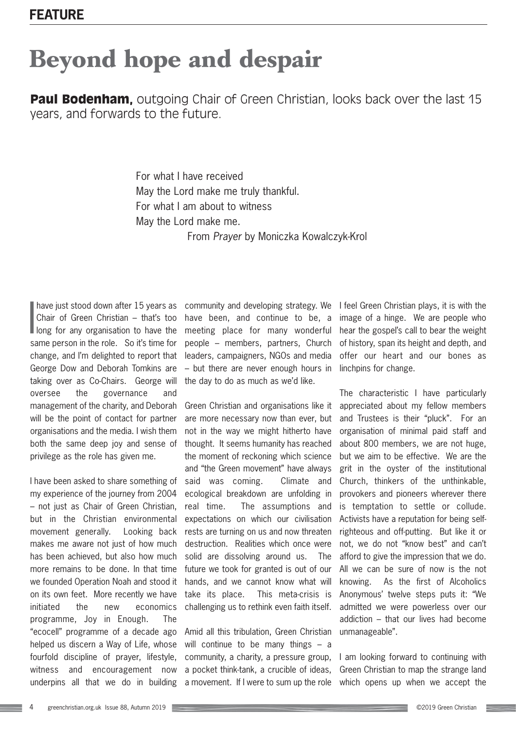## **Beyond hope and despair**

**Paul Bodenham.** outgoing Chair of Green Christian, looks back over the last 15 years, and forwards to the future.

> For what I have received May the Lord make me truly thankful. For what I am about to witness May the Lord make me. From *Prayer* by Moniczka Kowalczyk-Krol

have just stood down after 15 years as<br>Chair of Green Christian – that's too<br>long for any organisation to have the have just stood down after 15 years as Chair of Green Christian – that's too same person in the role. So it's time for change, and I'm delighted to report that George Dow and Deborah Tomkins are taking over as Co-Chairs. George will oversee the governance and management of the charity, and Deborah will be the point of contact for partner organisations and the media. I wish them both the same deep joy and sense of privilege as the role has given me.

I have been asked to share something of my experience of the journey from 2004 – not just as Chair of Green Christian, but in the Christian environmental movement generally. Looking back makes me aware not just of how much has been achieved, but also how much more remains to be done. In that time we founded Operation Noah and stood it on its own feet. More recently we have initiated the new economics programme, Joy in Enough. The "ecocell" programme of a decade ago helped us discern a Way of Life, whose fourfold discipline of prayer, lifestyle, witness and encouragement now underpins all that we do in building

community and developing strategy. We have been, and continue to be, a meeting place for many wonderful people – members, partners, Church leaders, campaigners, NGOs and media – but there are never enough hours in the day to do as much as we'd like.

Green Christian and organisations like it are more necessary now than ever, but not in the way we might hitherto have thought. It seems humanity has reached the moment of reckoning which science and "the Green movement" have always said was coming. Climate and ecological breakdown are unfolding in real time. The assumptions and expectations on which our civilisation rests are turning on us and now threaten destruction. Realities which once were solid are dissolving around us. The future we took for granted is out of our hands, and we cannot know what will take its place. This meta-crisis is challenging us to rethink even faith itself.

Amid all this tribulation, Green Christian will continue to be many things - a community, a charity, a pressure group, a pocket think-tank, a crucible of ideas, a movement. If I were to sum up the role I feel Green Christian plays, it is with the image of a hinge. We are people who hear the gospel's call to bear the weight of history, span its height and depth, and offer our heart and our bones as linchpins for change.

The characteristic I have particularly appreciated about my fellow members and Trustees is their "pluck". For an organisation of minimal paid staff and about 800 members, we are not huge, but we aim to be effective. We are the grit in the oyster of the institutional Church, thinkers of the unthinkable, provokers and pioneers wherever there is temptation to settle or collude. Activists have a reputation for being selfrighteous and off-putting. But like it or not, we do not "know best" and can't afford to give the impression that we do. All we can be sure of now is the not knowing. As the first of Alcoholics Anonymous' twelve steps puts it: "We admitted we were powerless over our addiction – that our lives had become unmanageable".

I am looking forward to continuing with Green Christian to map the strange land which opens up when we accept the